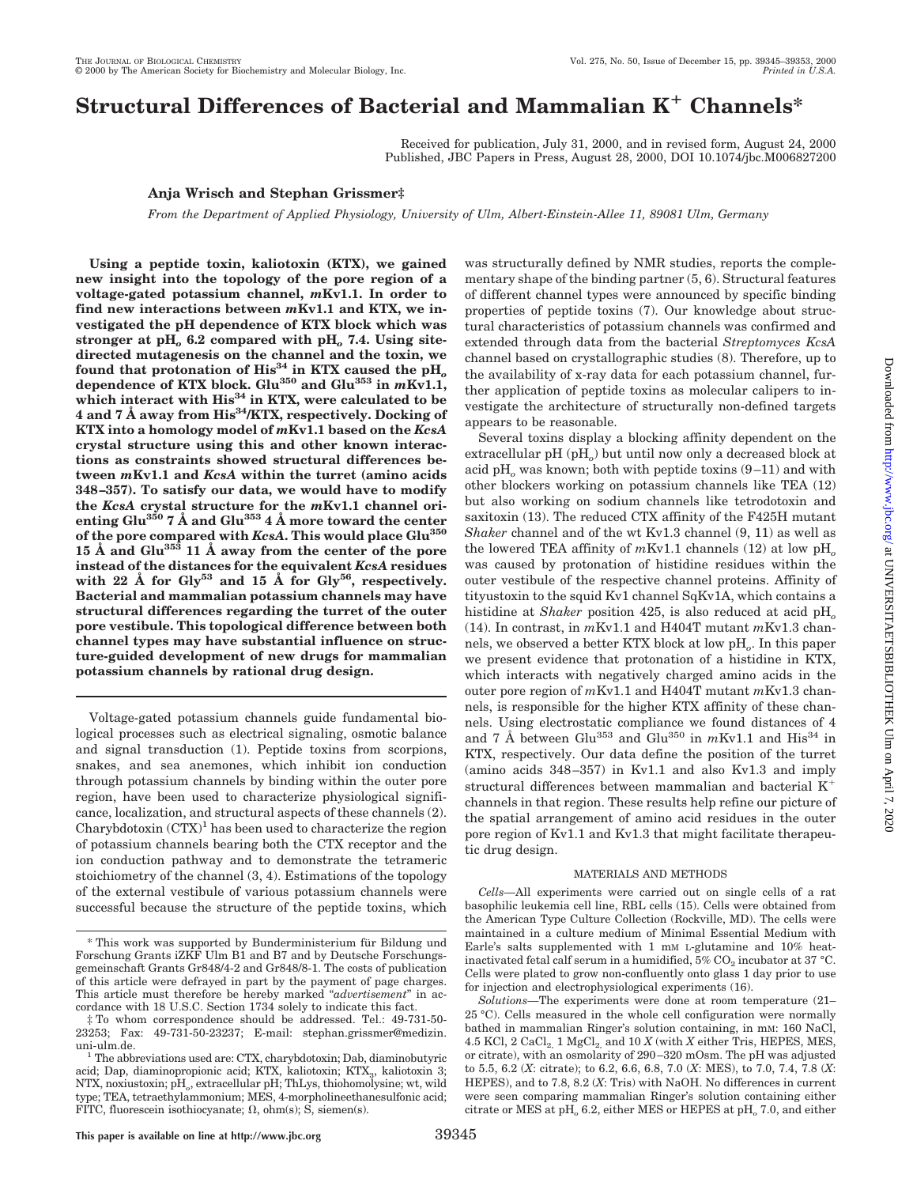# **Structural Differences of Bacterial and Mammalian K**<sup>1</sup> **Channels\***

Received for publication, July 31, 2000, and in revised form, August 24, 2000 Published, JBC Papers in Press, August 28, 2000, DOI 10.1074/jbc.M006827200

appears to be reasonable.

was structurally defined by NMR studies, reports the complementary shape of the binding partner (5, 6). Structural features of different channel types were announced by specific binding properties of peptide toxins (7). Our knowledge about structural characteristics of potassium channels was confirmed and extended through data from the bacterial *Streptomyces KcsA* channel based on crystallographic studies (8). Therefore, up to the availability of x-ray data for each potassium channel, further application of peptide toxins as molecular calipers to investigate the architecture of structurally non-defined targets

Several toxins display a blocking affinity dependent on the extracellular pH (pH<sub>o</sub>) but until now only a decreased block at acid pH<sub>o</sub> was known; both with peptide toxins  $(9-11)$  and with other blockers working on potassium channels like TEA (12) but also working on sodium channels like tetrodotoxin and saxitoxin (13). The reduced CTX affinity of the F425H mutant *Shaker* channel and of the wt Kv1.3 channel (9, 11) as well as the lowered TEA affinity of  $mKv1.1$  channels (12) at low  $pH_0$ was caused by protonation of histidine residues within the outer vestibule of the respective channel proteins. Affinity of tityustoxin to the squid Kv1 channel SqKv1A, which contains a histidine at *Shaker* position 425, is also reduced at acid pH<sub>o</sub> (14). In contrast, in *m*Kv1.1 and H404T mutant *m*Kv1.3 channels, we observed a better KTX block at low pH*o*. In this paper we present evidence that protonation of a histidine in KTX, which interacts with negatively charged amino acids in the

## **Anja Wrisch and Stephan Grissmer‡**

*From the Department of Applied Physiology, University of Ulm, Albert-Einstein-Allee 11, 89081 Ulm, Germany*

**Using a peptide toxin, kaliotoxin (KTX), we gained new insight into the topology of the pore region of a voltage-gated potassium channel,** *m***Kv1.1. In order to find new interactions between** *m***Kv1.1 and KTX, we investigated the pH dependence of KTX block which was stronger at pH***<sup>o</sup>* **6.2 compared with pH***<sup>o</sup>* **7.4. Using sitedirected mutagenesis on the channel and the toxin, we** found that protonation of  $His<sup>34</sup>$  in KTX caused the pH<sub>*o*</sub> **dependence of KTX block. Glu350 and Glu353 in** *m***Kv1.1,** which interact with His<sup>34</sup> in KTX, were calculated to be **4 and 7 Å away from His34/KTX, respectively. Docking of KTX into a homology model of** *m***Kv1.1 based on the** *KcsA* **crystal structure using this and other known interactions as constraints showed structural differences between** *m***Kv1.1 and** *KcsA* **within the turret (amino acids 348–357). To satisfy our data, we would have to modify the** *KcsA* **crystal structure for the** *m***Kv1.1 channel orienting Glu350 7 Å and Glu353 4 Å more toward the center of the pore compared with** *KcsA***. This would place Glu350 15 Å and Glu353 11 Å away from the center of the pore instead of the distances for the equivalent** *KcsA* **residues with 22 Å for Gly<sup>53</sup> and 15 Å for Gly56, respectively. Bacterial and mammalian potassium channels may have structural differences regarding the turret of the outer pore vestibule. This topological difference between both channel types may have substantial influence on structure-guided development of new drugs for mammalian potassium channels by rational drug design.**

Voltage-gated potassium channels guide fundamental biological processes such as electrical signaling, osmotic balance and signal transduction (1). Peptide toxins from scorpions, snakes, and sea anemones, which inhibit ion conduction through potassium channels by binding within the outer pore region, have been used to characterize physiological significance, localization, and structural aspects of these channels (2). Charybdotoxin  $(TTX)^1$  has been used to characterize the region of potassium channels bearing both the CTX receptor and the ion conduction pathway and to demonstrate the tetrameric stoichiometry of the channel (3, 4). Estimations of the topology of the external vestibule of various potassium channels were successful because the structure of the peptide toxins, which outer pore region of *m*Kv1.1 and H404T mutant *m*Kv1.3 channels, is responsible for the higher KTX affinity of these channels. Using electrostatic compliance we found distances of 4 and 7 Å between Glu<sup>353</sup> and Glu<sup>350</sup> in  $mKv1.1$  and His<sup>34</sup> in KTX, respectively. Our data define the position of the turret (amino acids 348–357) in Kv1.1 and also Kv1.3 and imply structural differences between mammalian and bacterial  $K^+$ channels in that region. These results help refine our picture of

## MATERIALS AND METHODS

the spatial arrangement of amino acid residues in the outer pore region of Kv1.1 and Kv1.3 that might facilitate therapeu-

*Cells—*All experiments were carried out on single cells of a rat basophilic leukemia cell line, RBL cells (15). Cells were obtained from the American Type Culture Collection (Rockville, MD). The cells were maintained in a culture medium of Minimal Essential Medium with Earle's salts supplemented with 1 mM L-glutamine and 10% heatinactivated fetal calf serum in a humidified,  $5\%$  CO<sub>2</sub> incubator at 37 °C. Cells were plated to grow non-confluently onto glass 1 day prior to use for injection and electrophysiological experiments (16).

tic drug design.

<sup>\*</sup> This work was supported by Bunderministerium für Bildung und Forschung Grants iZKF Ulm B1 and B7 and by Deutsche Forschungsgemeinschaft Grants Gr848/4-2 and Gr848/8-1. The costs of publication of this article were defrayed in part by the payment of page charges. This article must therefore be hereby marked "*advertisement*" in accordance with 18 U.S.C. Section 1734 solely to indicate this fact.

<sup>‡</sup> To whom correspondence should be addressed. Tel.: 49-731-50- 23253; Fax: 49-731-50-23237; E-mail: stephan.grissmer@medizin.

uni-ulm.de.  $1$  The abbreviations used are: CTX, charybdotoxin; Dab, diaminobutyric acid; Dap, diaminopropionic acid; KTX, kaliotoxin; KTX3, kaliotoxin 3; NTX, noxiustoxin; pH*o*, extracellular pH; ThLys, thiohomolysine; wt, wild type; TEA, tetraethylammonium; MES, 4-morpholineethanesulfonic acid; FITC, fluorescein isothiocyanate;  $\Omega$ , ohm(s); S, siemen(s).

*Solutions—*The experiments were done at room temperature (21– 25 °C). Cells measured in the whole cell configuration were normally bathed in mammalian Ringer's solution containing, in mM: 160 NaCl, 4.5 KCl, 2 CaCl<sub>2</sub> 1 MgCl<sub>2</sub> and 10  $X$  (with  $X$  either Tris, HEPES, MES, or citrate), with an osmolarity of 290–320 mOsm. The pH was adjusted to 5.5, 6.2 (*X*: citrate); to 6.2, 6.6, 6.8, 7.0 (*X*: MES), to 7.0, 7.4, 7.8 (*X*: HEPES), and to 7.8, 8.2 (*X*: Tris) with NaOH. No differences in current were seen comparing mammalian Ringer's solution containing either citrate or MES at pH<sub>o</sub> 6.2, either MES or HEPES at pH<sub>o</sub> 7.0, and either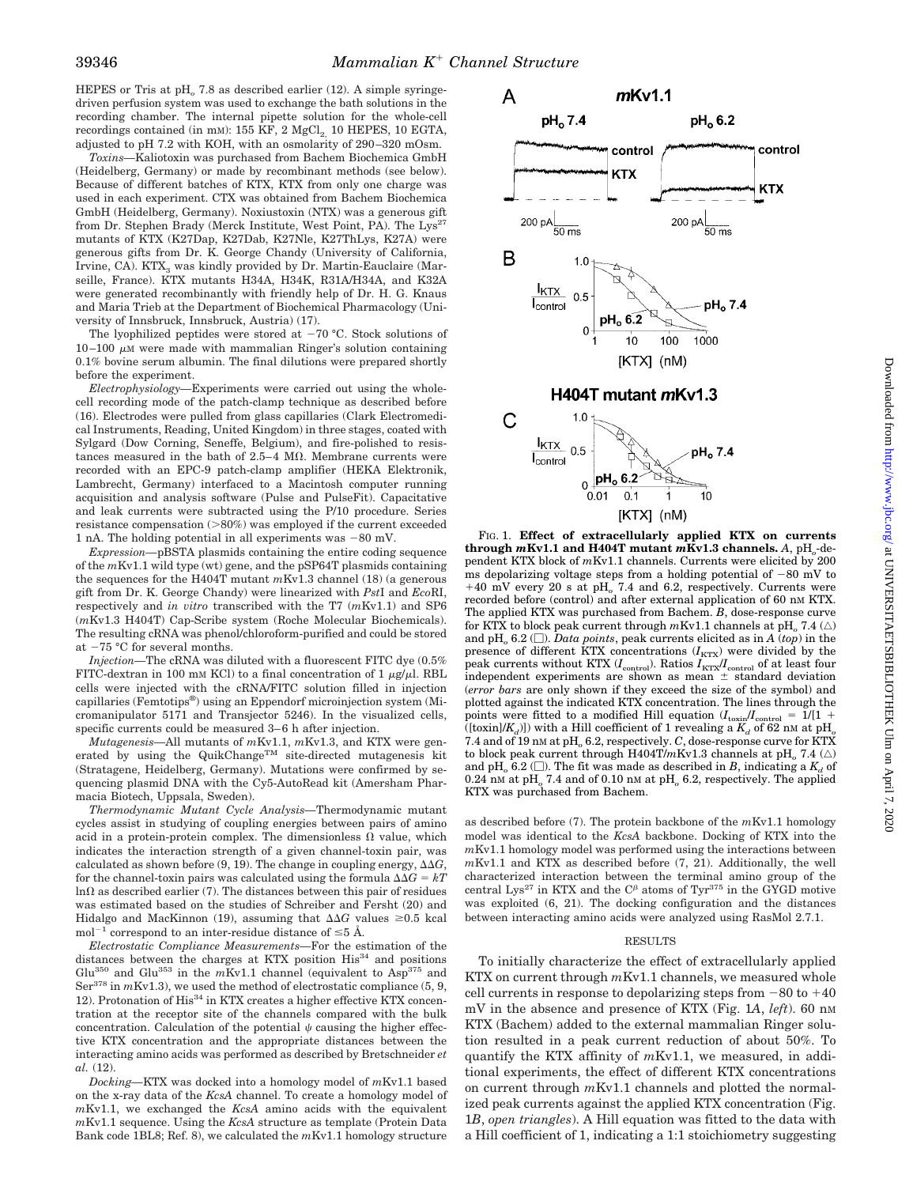HEPES or Tris at pH<sub>o</sub> 7.8 as described earlier (12). A simple syringedriven perfusion system was used to exchange the bath solutions in the recording chamber. The internal pipette solution for the whole-cell recordings contained (in mM):  $155$  KF,  $2$  MgCl<sub>2</sub> 10 HEPES, 10 EGTA, adjusted to pH 7.2 with KOH, with an osmolarity of 290–320 mOsm.

*Toxins—*Kaliotoxin was purchased from Bachem Biochemica GmbH (Heidelberg, Germany) or made by recombinant methods (see below). Because of different batches of KTX, KTX from only one charge was used in each experiment. CTX was obtained from Bachem Biochemica GmbH (Heidelberg, Germany). Noxiustoxin (NTX) was a generous gift from Dr. Stephen Brady (Merck Institute, West Point, PA). The Lys<sup>27</sup> mutants of KTX (K27Dap, K27Dab, K27Nle, K27ThLys, K27A) were generous gifts from Dr. K. George Chandy (University of California, Irvine, CA). KTX<sub>3</sub> was kindly provided by Dr. Martin-Eauclaire (Marseille, France). KTX mutants H34A, H34K, R31A/H34A, and K32A were generated recombinantly with friendly help of Dr. H. G. Knaus and Maria Trieb at the Department of Biochemical Pharmacology (University of Innsbruck, Innsbruck, Austria) (17).

The lyophilized peptides were stored at  $-70$  °C. Stock solutions of  $10-100 \mu$ M were made with mammalian Ringer's solution containing 0.1% bovine serum albumin. The final dilutions were prepared shortly before the experiment.

*Electrophysiology—*Experiments were carried out using the wholecell recording mode of the patch-clamp technique as described before (16). Electrodes were pulled from glass capillaries (Clark Electromedical Instruments, Reading, United Kingdom) in three stages, coated with Sylgard (Dow Corning, Seneffe, Belgium), and fire-polished to resistances measured in the bath of  $2.5-4$  M $\Omega$ . Membrane currents were recorded with an EPC-9 patch-clamp amplifier (HEKA Elektronik, Lambrecht, Germany) interfaced to a Macintosh computer running acquisition and analysis software (Pulse and PulseFit). Capacitative and leak currents were subtracted using the P/10 procedure. Series resistance compensation  $(>80%)$  was employed if the current exceeded 1 nA. The holding potential in all experiments was  $-80$  mV.

*Expression—*pBSTA plasmids containing the entire coding sequence of the *m*Kv1.1 wild type (wt) gene, and the pSP64T plasmids containing the sequences for the H404T mutant *m*Kv1.3 channel (18) (a generous gift from Dr. K. George Chandy) were linearized with *Pst*I and *Eco*RI, respectively and *in vitro* transcribed with the T7 (*m*Kv1.1) and SP6 (*m*Kv1.3 H404T) Cap-Scribe system (Roche Molecular Biochemicals). The resulting cRNA was phenol/chloroform-purified and could be stored at  $-75$  °C for several months.

*Injection—*The cRNA was diluted with a fluorescent FITC dye (0.5% FITC-dextran in 100 mm KCl) to a final concentration of 1  $\mu$ g/ $\mu$ l. RBL cells were injected with the cRNA/FITC solution filled in injection capillaries (Femtotips®) using an Eppendorf microinjection system (Micromanipulator 5171 and Transjector 5246). In the visualized cells, specific currents could be measured 3–6 h after injection.

*Mutagenesis—*All mutants of *m*Kv1.1, *m*Kv1.3, and KTX were generated by using the QuikChange<sup>TM</sup> site-directed mutagenesis kit (Stratagene, Heidelberg, Germany). Mutations were confirmed by sequencing plasmid DNA with the Cy5-AutoRead kit (Amersham Pharmacia Biotech, Uppsala, Sweden).

*Thermodynamic Mutant Cycle Analysis—*Thermodynamic mutant cycles assist in studying of coupling energies between pairs of amino acid in a protein-protein complex. The dimensionless  $\Omega$  value, which indicates the interaction strength of a given channel-toxin pair, was calculated as shown before  $(9, 19)$ . The change in coupling energy,  $\Delta\Delta G$ , for the channel-toxin pairs was calculated using the formula  $\Delta\Delta G = kT$  $\ln\Omega$  as described earlier (7). The distances between this pair of residues was estimated based on the studies of Schreiber and Fersht (20) and Hidalgo and MacKinnon (19), assuming that  $\Delta\Delta G$  values  $\geq 0.5$  kcal mol<sup>-1</sup> correspond to an inter-residue distance of  $\leq$ 5 Å.

*Electrostatic Compliance Measurements—*For the estimation of the distances between the charges at KTX position His<sup>34</sup> and positions Glu<sup>350</sup> and Glu<sup>353</sup> in the  $m$ Kv1.1 channel (equivalent to Asp<sup>375</sup> and Ser<sup>378</sup> in  $mKv1.3$ ), we used the method of electrostatic compliance (5, 9, 12). Protonation of His<sup>34</sup> in KTX creates a higher effective KTX concentration at the receptor site of the channels compared with the bulk concentration. Calculation of the potential  $\psi$  causing the higher effective KTX concentration and the appropriate distances between the interacting amino acids was performed as described by Bretschneider *et al.* (12).

*Docking—*KTX was docked into a homology model of *m*Kv1.1 based on the x-ray data of the *KcsA* channel. To create a homology model of *m*Kv1.1, we exchanged the *KcsA* amino acids with the equivalent *m*Kv1.1 sequence. Using the *KcsA* structure as template (Protein Data Bank code 1BL8; Ref. 8), we calculated the *m*Kv1.1 homology structure



FIG. 1. **Effect of extracellularly applied KTX on currents through**  $mKv1.1$  and H404T mutant  $mKv1.3$  channels. A, pH<sub>o</sub>-dependent KTX block of *m*Kv1.1 channels. Currents were elicited by 200 ms depolarizing voltage steps from a holding potential of  $-80$  mV to +40 mV every 20 s at pH<sub>o</sub> 7.4 and 6.2, respectively. Currents were recorded before (control) and after external application of 60 nm KTX. The applied KTX was purchased from Bachem. *B*, dose-response curve for KTX to block peak current through  $m \text{Kv1.1}$  channels at pH\_ 7.4  $(\triangle)$ and pH<sub>o</sub> 6.2 ( $\square$ ). *Data points*, peak currents elicited as in *A* (*top*) in the presence of different KTX concentrations  $(I_\mathrm{KTX})$  were divided by the peak currents without KTX  $(I_{\text{control}})$ . Ratios  $I_{\text{KTX}}/I_{\text{control}}$  of at least four independent experiments are shown as mean  $±$  standard deviation (*error bars* are only shown if they exceed the size of the symbol) and plotted against the indicated KTX concentration. The lines through the points were fitted to a modified Hill equation  $(I_{\text{toxin}}/I_{\text{control}} = 1/(1 +$ ([toxin]/ $K_d$ ]) with a Hill coefficient of 1 revealing a  $K_d$  of 62 nm at pH<sub>a</sub> 7.4 and of 19 nM at pH<sub>o</sub> 6.2, respectively. *C*, dose-response curve for KTX to block peak current through H404T/ $m$ Kv1.3 channels at pH<sub>o</sub> 7.4 ( $\triangle$ ) and pH<sub>o</sub> 6.2 ( $\square$ ). The fit was made as described in *B*, indicating a  $K_d$  of 0.24 nM at pH*<sup>o</sup>* 7.4 and of 0.10 nM at pH*<sup>o</sup>* 6.2, respectively. The applied KTX was purchased from Bachem.

as described before (7). The protein backbone of the *m*Kv1.1 homology model was identical to the *KcsA* backbone. Docking of KTX into the *m*Kv1.1 homology model was performed using the interactions between *m*Kv1.1 and KTX as described before (7, 21). Additionally, the well characterized interaction between the terminal amino group of the central Lys<sup>27</sup> in KTX and the  $C^{\beta}$  atoms of Tyr<sup>375</sup> in the GYGD motive was exploited (6, 21). The docking configuration and the distances between interacting amino acids were analyzed using RasMol 2.7.1.

### RESULTS

To initially characterize the effect of extracellularly applied KTX on current through *m*Kv1.1 channels, we measured whole cell currents in response to depolarizing steps from  $-80$  to  $+40$ mV in the absence and presence of KTX (Fig. 1*A*, *left*). 60 nM KTX (Bachem) added to the external mammalian Ringer solution resulted in a peak current reduction of about 50%. To quantify the KTX affinity of *m*Kv1.1, we measured, in additional experiments, the effect of different KTX concentrations on current through *m*Kv1.1 channels and plotted the normalized peak currents against the applied KTX concentration (Fig. 1*B*, *open triangles*). A Hill equation was fitted to the data with a Hill coefficient of 1, indicating a 1:1 stoichiometry suggesting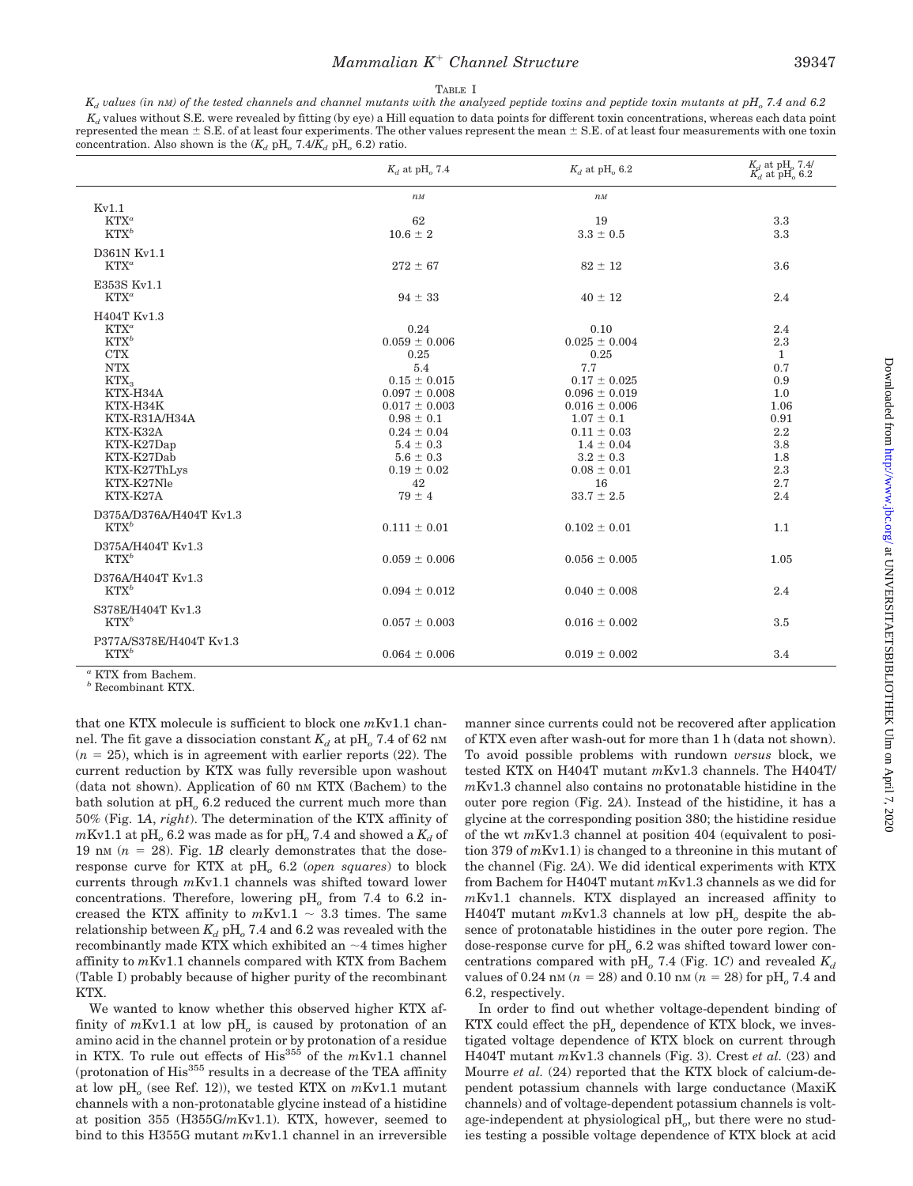## *Mammalian K<sup>+</sup> Channel Structure* 39347

#### TABLE I

 $K_d$  values (in nM) of the tested channels and channel mutants with the analyzed peptide toxins and peptide toxin mutants at pH<sub>o</sub> 7.4 and 6.2  $K_d$  values without S.E. were revealed by fitting (by eye) a Hill equation to data points for different toxin concentrations, whereas each data point represented the mean  $\pm$  S.E. of at least four experiments. The other values represent the mean  $\pm$  S.E. of at least four measurements with one toxin concentration. Also shown is the  $(K_d \text{ pH}_o 7.4/K_d \text{ pH}_o 6.2)$  ratio.

|                                                                                                                                                                                                              | $K_d$ at pH <sub>o</sub> 7.4                                                                                                                                                                                         | $K_d$ at pH <sub>o</sub> 6.2                                                                                                                                                                                              | $\frac{K_d}{K_d}$ at pH <sub>o</sub> 7.4/<br>$\frac{K_d}{K_d}$ at pH <sub>o</sub> 6.2                     |
|--------------------------------------------------------------------------------------------------------------------------------------------------------------------------------------------------------------|----------------------------------------------------------------------------------------------------------------------------------------------------------------------------------------------------------------------|---------------------------------------------------------------------------------------------------------------------------------------------------------------------------------------------------------------------------|-----------------------------------------------------------------------------------------------------------|
| Kv1.1                                                                                                                                                                                                        | $n$ $M$                                                                                                                                                                                                              | $n$ <sub>M</sub>                                                                                                                                                                                                          |                                                                                                           |
| $KTX^a$<br>$KTX^b$                                                                                                                                                                                           | 62<br>$10.6 \pm 2$                                                                                                                                                                                                   | 19<br>$3.3 \pm 0.5$                                                                                                                                                                                                       | 3.3<br>3.3                                                                                                |
| D361N Kv1.1<br>$KTX^a$                                                                                                                                                                                       | $272 \pm 67$                                                                                                                                                                                                         | $82 \pm 12$                                                                                                                                                                                                               | 3.6                                                                                                       |
| E353S Kv1.1<br>$KTX^a$                                                                                                                                                                                       | $94 \pm 33$                                                                                                                                                                                                          | $40 \pm 12$                                                                                                                                                                                                               | 2.4                                                                                                       |
| H404T Kv1.3<br>$KTX^a$<br>$KTX^b$<br><b>CTX</b><br><b>NTX</b><br>KTX <sub>3</sub><br>KTX-H34A<br>KTX-H34K<br>KTX-R31A/H34A<br>KTX-K32A<br>KTX-K27Dap<br>KTX-K27Dab<br>KTX-K27ThLys<br>KTX-K27Nle<br>KTX-K27A | 0.24<br>$0.059 \pm 0.006$<br>0.25<br>5.4<br>$0.15 \pm 0.015$<br>$0.097 \pm 0.008$<br>$0.017 \pm 0.003$<br>$0.98 \pm 0.1$<br>$0.24 \pm 0.04$<br>$5.4 \pm 0.3$<br>$5.6 \pm 0.3$<br>$0.19 \pm 0.02$<br>42<br>$79 \pm 4$ | 0.10<br>$0.025 \pm 0.004$<br>0.25<br>7.7<br>$0.17 \pm 0.025$<br>$0.096 \pm 0.019$<br>$0.016 \pm 0.006$<br>$1.07 \pm 0.1$<br>$0.11 \pm 0.03$<br>$1.4 \pm 0.04$<br>$3.2 \pm 0.3$<br>$0.08 \pm 0.01$<br>16<br>$33.7 \pm 2.5$ | 2.4<br>2.3<br>$\mathbf{1}$<br>0.7<br>0.9<br>1.0<br>1.06<br>0.91<br>2.2<br>3.8<br>1.8<br>2.3<br>2.7<br>2.4 |
| D375A/D376A/H404T Kv1.3<br>$KTX^b$                                                                                                                                                                           | $0.111 \pm 0.01$                                                                                                                                                                                                     | $0.102 \pm 0.01$                                                                                                                                                                                                          | 1.1                                                                                                       |
| D375A/H404T Kv1.3<br>$KTX^b$                                                                                                                                                                                 | $0.059 \pm 0.006$                                                                                                                                                                                                    | $0.056 \pm 0.005$                                                                                                                                                                                                         | 1.05                                                                                                      |
| D376A/H404T Kv1.3<br>$KTX^b$                                                                                                                                                                                 | $0.094 \pm 0.012$                                                                                                                                                                                                    | $0.040 \pm 0.008$                                                                                                                                                                                                         | 2.4                                                                                                       |
| S378E/H404T Kv1.3<br>$KTX^b$                                                                                                                                                                                 | $0.057 \pm 0.003$                                                                                                                                                                                                    | $0.016 \pm 0.002$                                                                                                                                                                                                         | 3.5                                                                                                       |
| P377A/S378E/H404T Kv1.3<br>$KTX^b$                                                                                                                                                                           | $0.064 \pm 0.006$                                                                                                                                                                                                    | $0.019 \pm 0.002$                                                                                                                                                                                                         | 3.4                                                                                                       |

*<sup>a</sup>* KTX from Bachem.

*<sup>b</sup>* Recombinant KTX.

that one KTX molecule is sufficient to block one *m*Kv1.1 channel. The fit gave a dissociation constant  $K_d$  at pH<sub>o</sub> 7.4 of 62 nm  $(n = 25)$ , which is in agreement with earlier reports  $(22)$ . The current reduction by KTX was fully reversible upon washout (data not shown). Application of 60 nM KTX (Bachem) to the bath solution at pH<sub>o</sub> 6.2 reduced the current much more than 50% (Fig. 1*A*, *right*). The determination of the KTX affinity of  $mKv1.1$  at pH<sub>o</sub> 6.2 was made as for pH<sub>o</sub> 7.4 and showed a  $K_d$  of 19 nm  $(n = 28)$ . Fig. 1*B* clearly demonstrates that the doseresponse curve for KTX at pH<sub>o</sub> 6.2 (*open squares*) to block currents through *m*Kv1.1 channels was shifted toward lower concentrations. Therefore, lowering pH*<sup>o</sup>* from 7.4 to 6.2 increased the KTX affinity to  $mKv1.1 \sim 3.3$  times. The same relationship between  $K_d$  pH<sub>o</sub> 7.4 and 6.2 was revealed with the recombinantly made KTX which exhibited an  $\sim$  4 times higher affinity to *m*Kv1.1 channels compared with KTX from Bachem (Table I) probably because of higher purity of the recombinant KTX.

We wanted to know whether this observed higher KTX affinity of  $mKv1.1$  at low  $pH<sub>o</sub>$  is caused by protonation of an amino acid in the channel protein or by protonation of a residue in KTX. To rule out effects of His<sup>355</sup> of the  $mKv1.1$  channel (protonation of  $His<sup>355</sup>$  results in a decrease of the TEA affinity at low pH<sub>o</sub> (see Ref. 12)), we tested KTX on  $mKv1.1$  mutant channels with a non-protonatable glycine instead of a histidine at position 355 (H355G/*m*Kv1.1). KTX, however, seemed to bind to this H355G mutant *m*Kv1.1 channel in an irreversible manner since currents could not be recovered after application of KTX even after wash-out for more than 1 h (data not shown). To avoid possible problems with rundown *versus* block, we tested KTX on H404T mutant *m*Kv1.3 channels. The H404T/ *m*Kv1.3 channel also contains no protonatable histidine in the outer pore region (Fig. 2*A*). Instead of the histidine, it has a glycine at the corresponding position 380; the histidine residue of the wt *m*Kv1.3 channel at position 404 (equivalent to position 379 of *m*Kv1.1) is changed to a threonine in this mutant of the channel (Fig. 2*A*). We did identical experiments with KTX from Bachem for H404T mutant *m*Kv1.3 channels as we did for *m*Kv1.1 channels. KTX displayed an increased affinity to H404T mutant *m*Kv1.3 channels at low pH*<sup>o</sup>* despite the absence of protonatable histidines in the outer pore region. The dose-response curve for pH<sub>0</sub> 6.2 was shifted toward lower concentrations compared with pH<sub>o</sub> 7.4 (Fig. 1*C*) and revealed  $K_d$ values of 0.24 nm  $(n = 28)$  and 0.10 nm  $(n = 28)$  for pH<sub>o</sub> 7.4 and 6.2, respectively.

In order to find out whether voltage-dependent binding of KTX could effect the pH<sub>o</sub> dependence of KTX block, we investigated voltage dependence of KTX block on current through H404T mutant *m*Kv1.3 channels (Fig. 3). Crest *et al.* (23) and Mourre *et al.* (24) reported that the KTX block of calcium-dependent potassium channels with large conductance (MaxiK channels) and of voltage-dependent potassium channels is voltage-independent at physiological pH*o*, but there were no studies testing a possible voltage dependence of KTX block at acid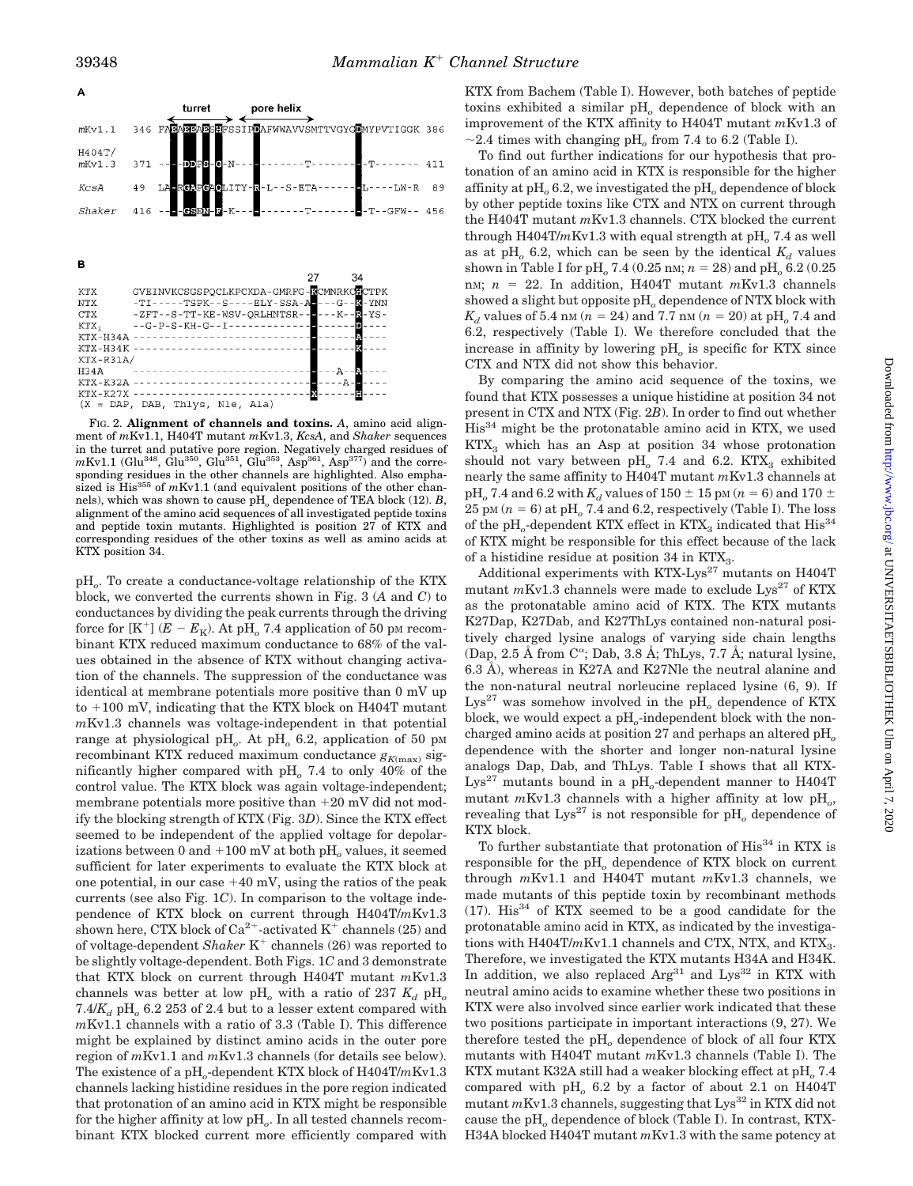

FIG. 2. **Alignment of channels and toxins.** *A*, amino acid alignment of *m*Kv1.1, H404T mutant *m*Kv1.3, *KcsA*, and *Shaker* sequences in the turret and putative pore region. Negatively charged residues of  $mKv1.1$  (Glu<sup>348</sup>, Glu<sup>350</sup>, Glu<sup>351</sup>, Glu<sup>353</sup>, Asp<sup>361</sup>, Asp<sup>377</sup>) and the corresponding residues in the other channels are highlighted. Also emphasized is His<sup>355</sup> of *m*Kv1.1 (and equivalent positions of the other channels), which was shown to cause pH<sub>o</sub> dependence of TEA block (12). *B*, alignment of the amino acid sequences of all investigated peptide toxins and peptide toxin mutants. Highlighted is position 27 of KTX and corresponding residues of the other toxins as well as amino acids at KTX position 34.

pH*o*. To create a conductance-voltage relationship of the KTX block, we converted the currents shown in Fig. 3 (*A* and *C*) to conductances by dividing the peak currents through the driving force for  $[K^+]$  ( $E - E_K$ ). At pH<sub>o</sub> 7.4 application of 50 pm recombinant KTX reduced maximum conductance to 68% of the values obtained in the absence of KTX without changing activation of the channels. The suppression of the conductance was identical at membrane potentials more positive than 0 mV up  $to +100$  mV, indicating that the KTX block on H404T mutant *m*Kv1.3 channels was voltage-independent in that potential range at physiological pH<sub>o</sub>. At pH<sub>o</sub> 6.2, application of 50 pM recombinant KTX reduced maximum conductance  $g_{K(\text{max})}$  significantly higher compared with pH*<sup>o</sup>* 7.4 to only 40% of the control value. The KTX block was again voltage-independent; membrane potentials more positive than  $+20$  mV did not modify the blocking strength of KTX (Fig. 3*D*). Since the KTX effect seemed to be independent of the applied voltage for depolarizations between 0 and  $+100$  mV at both  $pH<sub>o</sub>$  values, it seemed sufficient for later experiments to evaluate the KTX block at one potential, in our case  $+40$  mV, using the ratios of the peak currents (see also Fig. 1*C*). In comparison to the voltage independence of KTX block on current through H404T/*m*Kv1.3 shown here, CTX block of  $Ca^{2+}$ -activated K<sup>+</sup> channels (25) and of voltage-dependent *Shaker* K<sup>+</sup> channels (26) was reported to be slightly voltage-dependent. Both Figs. 1*C* and 3 demonstrate that KTX block on current through H404T mutant *m*Kv1.3 channels was better at low pH<sub>o</sub> with a ratio of 237  $K_d$  pH<sub>o</sub>  $7.4/K_d$  pH<sub>o</sub> 6.2 253 of 2.4 but to a lesser extent compared with *m*Kv1.1 channels with a ratio of 3.3 (Table I). This difference might be explained by distinct amino acids in the outer pore region of *m*Kv1.1 and *m*Kv1.3 channels (for details see below). The existence of a pH<sub>c</sub>-dependent KTX block of H404T/mKv1.3 channels lacking histidine residues in the pore region indicated that protonation of an amino acid in KTX might be responsible for the higher affinity at low pH<sub>o</sub>. In all tested channels recombinant KTX blocked current more efficiently compared with

KTX from Bachem (Table I). However, both batches of peptide toxins exhibited a similar pH*<sup>o</sup>* dependence of block with an improvement of the KTX affinity to H404T mutant *m*Kv1.3 of  $\sim$ 2.4 times with changing pH<sub>o</sub> from 7.4 to 6.2 (Table I).

To find out further indications for our hypothesis that protonation of an amino acid in KTX is responsible for the higher affinity at pH<sub>0</sub> 6.2, we investigated the pH<sub>0</sub> dependence of block by other peptide toxins like CTX and NTX on current through the H404T mutant *m*Kv1.3 channels. CTX blocked the current through  $H404T/mKv1.3$  with equal strength at  $pH<sub>o</sub>$  7.4 as well as at pH<sub>o</sub> 6.2, which can be seen by the identical  $K_d$  values shown in Table I for pH<sub>o</sub> 7.4 (0.25 nM;  $n = 28$ ) and pH<sub>o</sub> 6.2 (0.25) nM;  $n = 22$ . In addition, H404T mutant  $mKv1.3$  channels showed a slight but opposite pH*<sup>o</sup>* dependence of NTX block with  $K_d$  values of 5.4 nm ( $n = 24$ ) and 7.7 nm ( $n = 20$ ) at pH<sub>o</sub> 7.4 and 6.2, respectively (Table I). We therefore concluded that the increase in affinity by lowering pH<sub>o</sub> is specific for KTX since CTX and NTX did not show this behavior.

By comparing the amino acid sequence of the toxins, we found that KTX possesses a unique histidine at position 34 not present in CTX and NTX (Fig. 2*B*). In order to find out whether His34 might be the protonatable amino acid in KTX, we used  $KTX<sub>3</sub>$  which has an Asp at position 34 whose protonation should not vary between pH<sub>o</sub> 7.4 and 6.2. KTX<sub>3</sub> exhibited nearly the same affinity to H404T mutant *m*Kv1.3 channels at pH<sub>o</sub> 7.4 and 6.2 with  $K_d$  values of 150  $\pm$  15 pm ( $n = 6$ ) and 170  $\pm$ 25 pM  $(n = 6)$  at pH<sub>o</sub> 7.4 and 6.2, respectively (Table I). The loss of the  $\rm pH_{o}$ -dependent KTX effect in KTX<sub>3</sub> indicated that  $\rm His^{34}$ of KTX might be responsible for this effect because of the lack of a histidine residue at position 34 in KTX<sub>3</sub>.

Additional experiments with KTX-Lys $^{27}$  mutants on H404T mutant  $mKv1.3$  channels were made to exclude  $Lys^{27}$  of KTX as the protonatable amino acid of KTX. The KTX mutants K27Dap, K27Dab, and K27ThLys contained non-natural positively charged lysine analogs of varying side chain lengths (Dap, 2.5 Å from  $C^{\alpha}$ ; Dab, 3.8 Å; ThLys, 7.7 Å; natural lysine, 6.3 Å), whereas in K27A and K27Nle the neutral alanine and the non-natural neutral norleucine replaced lysine (6, 9). If  $Lys^{27}$  was somehow involved in the pH<sub>o</sub> dependence of KTX block, we would expect a pH<sub>o</sub>-independent block with the noncharged amino acids at position 27 and perhaps an altered pH*<sup>o</sup>* dependence with the shorter and longer non-natural lysine analogs Dap, Dab, and ThLys. Table I shows that all KTX-Lys<sup>27</sup> mutants bound in a pH<sub>o</sub>-dependent manner to H404T mutant *m*Kv1.3 channels with a higher affinity at low pH<sub>o</sub>, revealing that  $Lys^{27}$  is not responsible for  $pH_0$  dependence of KTX block.

To further substantiate that protonation of His<sup>34</sup> in KTX is responsible for the pH<sub>o</sub> dependence of KTX block on current through *m*Kv1.1 and H404T mutant *m*Kv1.3 channels, we made mutants of this peptide toxin by recombinant methods  $(17)$ . His<sup>34</sup> of KTX seemed to be a good candidate for the protonatable amino acid in KTX, as indicated by the investigations with  $H404T/mKv1.1$  channels and CTX, NTX, and KTX<sub>3</sub>. Therefore, we investigated the KTX mutants H34A and H34K. In addition, we also replaced  $Arg^{31}$  and  $Lys^{32}$  in KTX with neutral amino acids to examine whether these two positions in KTX were also involved since earlier work indicated that these two positions participate in important interactions (9, 27). We therefore tested the pH*<sup>o</sup>* dependence of block of all four KTX mutants with H404T mutant *m*Kv1.3 channels (Table I). The KTX mutant K32A still had a weaker blocking effect at pH<sub>o</sub> 7.4 compared with pH*<sup>o</sup>* 6.2 by a factor of about 2.1 on H404T mutant  $mKv1.3$  channels, suggesting that  $Lys^{32}$  in KTX did not cause the pH<sub>o</sub> dependence of block (Table I). In contrast, KTX-H34A blocked H404T mutant *m*Kv1.3 with the same potency at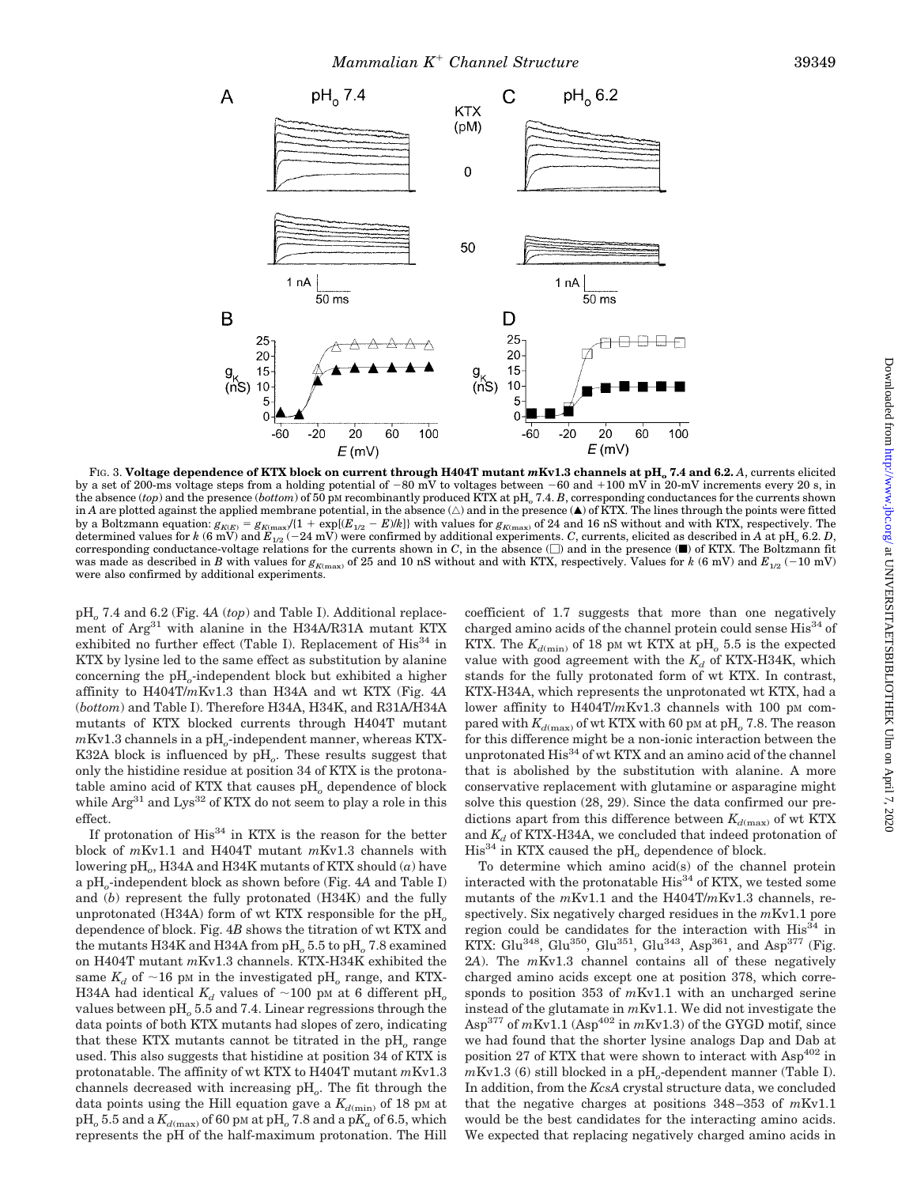

FIG. 3. Voltage dependence of KTX block on current through H404T mutant  $mKv1.3$  channels at pH<sub>o</sub> 7.4 and 6.2. A, currents elicited by a set of 200-ms voltage steps from a holding potential of  $-80$  mV to voltages between  $-60$  and  $+100$  mV in 20-mV increments every 20 s, in the absence (*top*) and the presence (*bottom*) of 50 pM recombinantly produced KTX at pH*<sup>o</sup>* 7.4. *B*, corresponding conductances for the currents shown in *A* are plotted against the applied membrane potential, in the absence ( $\triangle$ ) and in the presence ( $\blacktriangle$ ) of KTX. The lines through the points were fitted by a Boltzmann equation:  $g_{K(E)} = g_{K(\text{max}}/(1 + \exp[(E_{1/2} - E) / k])$  with values for  $g_{K(\text{max})}$  of 24 and 16 nS without and with KTX, respectively. The determined values for *k* (6 mV) and  $E_{1/2}$  (–24 mV) were confirmed by additional experiments. *C*, currents, elicited as described in *A* at pH<sub>o</sub> 6.2. *D*, corresponding conductance-voltage relations for the currents shown in  $C$ , in the absence  $(\Box)$  and in the presence  $(\Box)$  of KTX. The Boltzmann fit was made as described in *B* with values for  $g_{K(\text{max})}$  of 25 and 10 nS without and with KTX, respectively. Values for *k* (6 mV) and  $E_{1/2}$  (-10 mV) were also confirmed by additional experiments.

pH*<sup>o</sup>* 7.4 and 6.2 (Fig. 4*A* (*top*) and Table I). Additional replacement of Arg<sup>31</sup> with alanine in the H34A/R31A mutant KTX exhibited no further effect (Table I). Replacement of  $His^{34}$  in KTX by lysine led to the same effect as substitution by alanine concerning the pH*o*-independent block but exhibited a higher affinity to H404T/*m*Kv1.3 than H34A and wt KTX (Fig. 4*A* (*bottom*) and Table I). Therefore H34A, H34K, and R31A/H34A mutants of KTX blocked currents through H404T mutant *m*Kv1.3 channels in a pH*o*-independent manner, whereas KTX-K32A block is influenced by pH*o*. These results suggest that only the histidine residue at position 34 of KTX is the protonatable amino acid of KTX that causes pH*<sup>o</sup>* dependence of block while  $\text{Arg}^{31}$  and  $\text{Lys}^{32}$  of KTX do not seem to play a role in this effect.

If protonation of  $His<sup>34</sup>$  in KTX is the reason for the better block of *m*Kv1.1 and H404T mutant *m*Kv1.3 channels with lowering pH*o*, H34A and H34K mutants of KTX should (*a*) have a pH*o*-independent block as shown before (Fig. 4*A* and Table I) and (*b*) represent the fully protonated (H34K) and the fully unprotonated (H34A) form of wt KTX responsible for the  $pH_0$ dependence of block. Fig. 4*B* shows the titration of wt KTX and the mutants H34K and H34A from pH<sub>0</sub> 5.5 to pH<sub>0</sub> 7.8 examined on H404T mutant *m*Kv1.3 channels. KTX-H34K exhibited the same  $K_d$  of  $\sim$ 16 pM in the investigated pH<sub>o</sub> range, and KTX-H34A had identical  $K_d$  values of  $\sim$ 100 pm at 6 different pH<sub>o</sub> values between pH*<sup>o</sup>* 5.5 and 7.4. Linear regressions through the data points of both KTX mutants had slopes of zero, indicating that these KTX mutants cannot be titrated in the pH<sub>o</sub> range used. This also suggests that histidine at position 34 of KTX is protonatable. The affinity of wt KTX to H404T mutant *m*Kv1.3 channels decreased with increasing pH*o*. The fit through the data points using the Hill equation gave a  $K_{d(\min)}$  of 18 pm at  $pH_o$  5.5 and a  $K_{d(\text{max})}$  of 60 pm at  $pH_o$  7.8 and a  $pK_a$  of 6.5, which represents the pH of the half-maximum protonation. The Hill

coefficient of 1.7 suggests that more than one negatively charged amino acids of the channel protein could sense  $His<sup>34</sup>$  of KTX. The  $K_{d(\min)}$  of 18 pm wt KTX at pH<sub>o</sub> 5.5 is the expected value with good agreement with the  $K_d$  of KTX-H34K, which stands for the fully protonated form of wt KTX. In contrast, KTX-H34A, which represents the unprotonated wt KTX, had a lower affinity to H404T/mKv1.3 channels with 100 pM compared with  $K_{d(\text{max})}$  of wt KTX with 60 pm at pH<sub>o</sub> 7.8. The reason for this difference might be a non-ionic interaction between the unprotonated His<sup>34</sup> of wt KTX and an amino acid of the channel that is abolished by the substitution with alanine. A more conservative replacement with glutamine or asparagine might solve this question (28, 29). Since the data confirmed our predictions apart from this difference between  $K_{d(\text{max})}$  of wt KTX and  $K_d$  of KTX-H34A, we concluded that indeed protonation of His<sup>34</sup> in KTX caused the pH<sub>o</sub> dependence of block.

To determine which amino acid(s) of the channel protein interacted with the protonatable  $His<sup>34</sup>$  of KTX, we tested some mutants of the *m*Kv1.1 and the H404T/*m*Kv1.3 channels, respectively. Six negatively charged residues in the *m*Kv1.1 pore region could be candidates for the interaction with  $His<sup>34</sup>$  in KTX: Glu<sup>348</sup>, Glu<sup>350</sup>, Glu<sup>351</sup>, Glu<sup>343</sup>, Asp<sup>361</sup>, and Asp<sup>377</sup> (Fig. 2*A*). The *m*Kv1.3 channel contains all of these negatively charged amino acids except one at position 378, which corresponds to position 353 of *m*Kv1.1 with an uncharged serine instead of the glutamate in *m*Kv1.1. We did not investigate the Asp<sup>377</sup> of  $mKv1.1$  (Asp<sup>402</sup> in  $mKv1.3$ ) of the GYGD motif, since we had found that the shorter lysine analogs Dap and Dab at position 27 of KTX that were shown to interact with  $\text{Asp}^{402}$  in  $mKv1.3$  (6) still blocked in a pH<sub>o</sub>-dependent manner (Table I). In addition, from the *KcsA* crystal structure data, we concluded that the negative charges at positions 348–353 of *m*Kv1.1 would be the best candidates for the interacting amino acids. We expected that replacing negatively charged amino acids in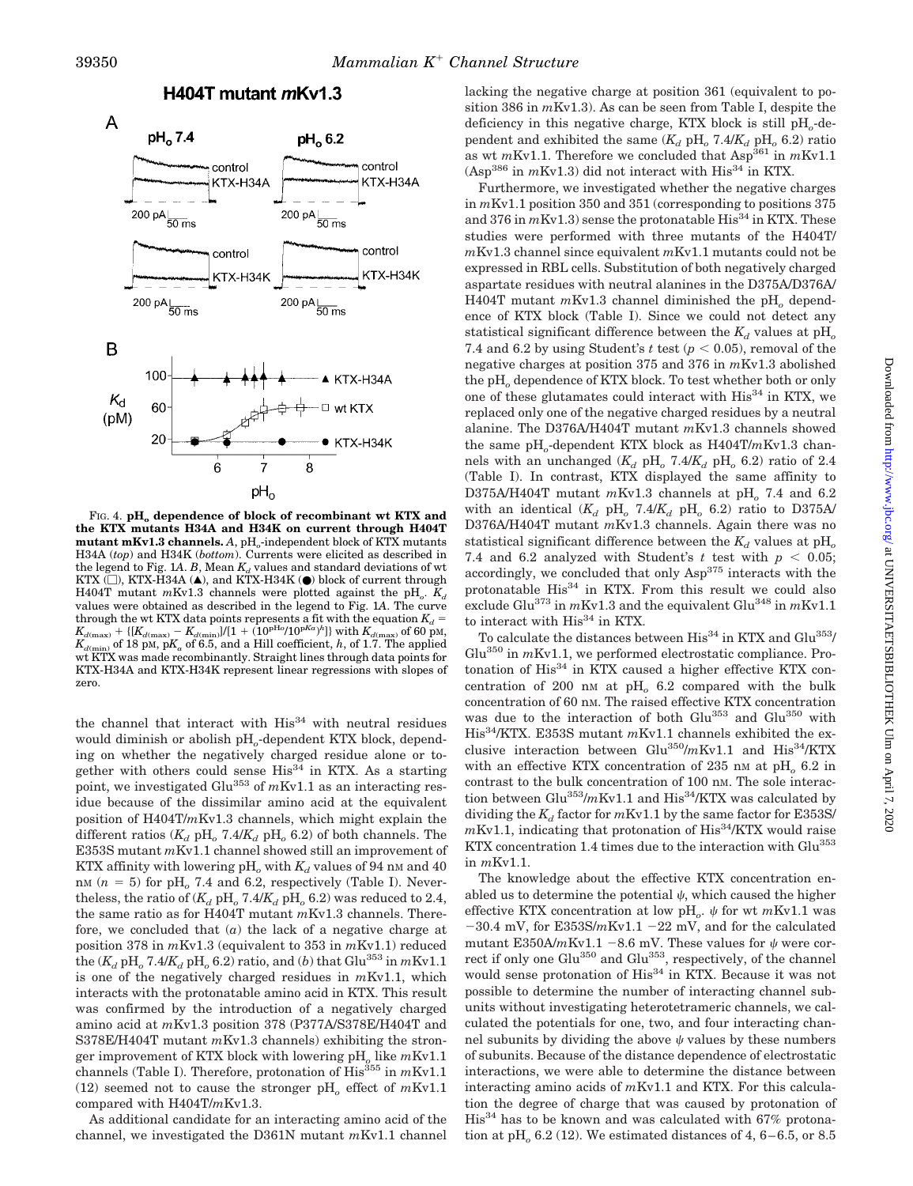

FIG. 4. pH<sub>a</sub> dependence of block of recombinant wt KTX and **the KTX mutants H34A and H34K on current through H404T mutant mKv1.3 channels.** A, pH<sub>o</sub>-independent block of KTX mutants H34A (*top*) and H34K (*bottom*). Currents were elicited as described in the legend to Fig. 1A.  $B$ , Mean  $K_d$  values and standard deviations of wt KTX  $\overline{(\square)}$ , KTX-H34A (A), and KTX-H34K ( $\bullet$ ) block of current through H404T mutant  $mKv1.3$  channels were plotted against the pH<sub>0</sub>.  $K_d$ values were obtained as described in the legend to Fig. 1*A*. The curve  $\kappa_{d({\rm max})}$  the wt KTX data points represents a fit with the equation  $K_d = K_{d({\rm max})} - K_{d({\rm min})}/[1 + (10^{\rm pHo}/10^{\rm pKa})^h]]$  with  $K_{d({\rm max})}$  of 60 pm,  $K_{d(\text{min})}$  of 18 pM,  $pK_a$  of 6.5, and a Hill coefficient, *h*, of 1.7. The applied wt KTX was made recombinantly. Straight lines through data points for KTX-H34A and KTX-H34K represent linear regressions with slopes of zero.

the channel that interact with  $His<sup>34</sup>$  with neutral residues would diminish or abolish pH*o*-dependent KTX block, depending on whether the negatively charged residue alone or together with others could sense  $His^{34}$  in KTX. As a starting point, we investigated Glu<sup>353</sup> of mKv1.1 as an interacting residue because of the dissimilar amino acid at the equivalent position of H404T/*m*Kv1.3 channels, which might explain the different ratios  $(K_d$  pH<sub>o</sub> 7.4/ $K_d$  pH<sub>o</sub> 6.2) of both channels. The E353S mutant *m*Kv1.1 channel showed still an improvement of KTX affinity with lowering  $pH_0$  with  $K_d$  values of 94 nm and 40 nM  $(n = 5)$  for pH<sub>o</sub> 7.4 and 6.2, respectively (Table I). Nevertheless, the ratio of  $(K_d \text{ pH}_o 7.4/K_d \text{ pH}_o 6.2)$  was reduced to 2.4, the same ratio as for H404T mutant *m*Kv1.3 channels. Therefore, we concluded that  $(a)$  the lack of a negative charge at position 378 in *m*Kv1.3 (equivalent to 353 in *m*Kv1.1) reduced the  $(K_d \text{ pH}_o 7.4/K_d \text{ pH}_o 6.2)$  ratio, and (*b*) that  $\text{Glu}^{353}$  in  $m\text{Kv1.1}$ is one of the negatively charged residues in *m*Kv1.1, which interacts with the protonatable amino acid in KTX. This result was confirmed by the introduction of a negatively charged amino acid at *m*Kv1.3 position 378 (P377A/S378E/H404T and S378E/H404T mutant *m*Kv1.3 channels) exhibiting the stronger improvement of KTX block with lowering pH*<sup>o</sup>* like *m*Kv1.1 channels (Table I). Therefore, protonation of His<sup>355</sup> in  $mKv1.1$ (12) seemed not to cause the stronger pH*<sup>o</sup>* effect of *m*Kv1.1 compared with H404T/*m*Kv1.3.

As additional candidate for an interacting amino acid of the channel, we investigated the D361N mutant *m*Kv1.1 channel lacking the negative charge at position 361 (equivalent to position 386 in *m*Kv1.3). As can be seen from Table I, despite the deficiency in this negative charge, KTX block is still pH*o*-dependent and exhibited the same  $(K_d$  pH<sub>o</sub> 7.4/ $K_d$  pH<sub>o</sub> 6.2) ratio as wt  $mKv1.1$ . Therefore we concluded that  $Asp^{361}$  in  $mKv1.1$  $(Asp<sup>386</sup>$  in  $mKv1.3)$  did not interact with His<sup>34</sup> in KTX.

Furthermore, we investigated whether the negative charges in *m*Kv1.1 position 350 and 351 (corresponding to positions 375 and 376 in  $mKv1.3$ ) sense the protonatable His<sup>34</sup> in KTX. These studies were performed with three mutants of the H404T/ *m*Kv1.3 channel since equivalent *m*Kv1.1 mutants could not be expressed in RBL cells. Substitution of both negatively charged aspartate residues with neutral alanines in the D375A/D376A/ H404T mutant  $mKv1.3$  channel diminished the pH<sub>o</sub> dependence of KTX block (Table I). Since we could not detect any statistical significant difference between the  $K_d$  values at  $\text{pH}_o$ 7.4 and 6.2 by using Student's  $t$  test ( $p < 0.05$ ), removal of the negative charges at position 375 and 376 in *m*Kv1.3 abolished the pH*<sup>o</sup>* dependence of KTX block. To test whether both or only one of these glutamates could interact with  $\mathrm{His}^{34}$  in KTX, we replaced only one of the negative charged residues by a neutral alanine. The D376A/H404T mutant *m*Kv1.3 channels showed the same pH*o*-dependent KTX block as H404T/*m*Kv1.3 channels with an unchanged  $(K_d$  pH<sub>o</sub> 7.4/ $K_d$  pH<sub>o</sub> 6.2) ratio of 2.4 (Table I). In contrast, KTX displayed the same affinity to D375A/H404T mutant  $mKv1.3$  channels at pH<sub>o</sub> 7.4 and 6.2 with an identical  $(K_d \text{ pH}_o \text{ 7.4}/K_d \text{ pH}_o \text{ 6.2})$  ratio to D375A/ D376A/H404T mutant *m*Kv1.3 channels. Again there was no statistical significant difference between the  $K_d$  values at  $\text{pH}_o$ 7.4 and 6.2 analyzed with Student's  $t$  test with  $p < 0.05$ ; accordingly, we concluded that only Asp375 interacts with the protonatable His<sup>34</sup> in KTX. From this result we could also exclude Glu<sup>373</sup> in  $mKv1.3$  and the equivalent Glu<sup>348</sup> in  $mKv1.1$ to interact with  $His<sup>34</sup>$  in KTX.

To calculate the distances between  $His^{34}$  in KTX and  $Glu^{353}$ / Glu<sup>350</sup> in *m*Kv1.1, we performed electrostatic compliance. Protonation of  $His<sup>34</sup>$  in KTX caused a higher effective KTX concentration of 200 nM at pH*<sup>o</sup>* 6.2 compared with the bulk concentration of 60 nM. The raised effective KTX concentration was due to the interaction of both Glu<sup>353</sup> and Glu<sup>350</sup> with His34/KTX. E353S mutant *m*Kv1.1 channels exhibited the exclusive interaction between Glu<sup>350</sup>/mKv1.1 and His<sup>34</sup>/KTX with an effective KTX concentration of 235 nm at pH<sub>o</sub> 6.2 in contrast to the bulk concentration of 100 nM. The sole interaction between  $Glu^{353}/mKv1.1$  and  $His^{34}/KTX$  was calculated by dividing the  $K_d$  factor for  $mKv1.1$  by the same factor for E353S/  $mKv1.1$ , indicating that protonation of His<sup>34</sup>/KTX would raise KTX concentration 1.4 times due to the interaction with Glu<sup>353</sup> in *m*Kv1.1.

The knowledge about the effective KTX concentration enabled us to determine the potential  $\psi$ , which caused the higher effective KTX concentration at low  $pH_o$ .  $\psi$  for wt  $mKv1.1$  was  $-30.4$  mV, for E353S/mKv1.1  $-22$  mV, and for the calculated mutant E350A/ $m$ Kv1.1 -8.6 mV. These values for  $\psi$  were correct if only one Glu<sup>350</sup> and Glu<sup>353</sup>, respectively, of the channel would sense protonation of His<sup>34</sup> in KTX. Because it was not possible to determine the number of interacting channel subunits without investigating heterotetrameric channels, we calculated the potentials for one, two, and four interacting channel subunits by dividing the above  $\psi$  values by these numbers of subunits. Because of the distance dependence of electrostatic interactions, we were able to determine the distance between interacting amino acids of *m*Kv1.1 and KTX. For this calculation the degree of charge that was caused by protonation of  $His<sup>34</sup>$  has to be known and was calculated with 67% protonation at  $pH_0$  6.2 (12). We estimated distances of 4,  $6-6.5$ , or 8.5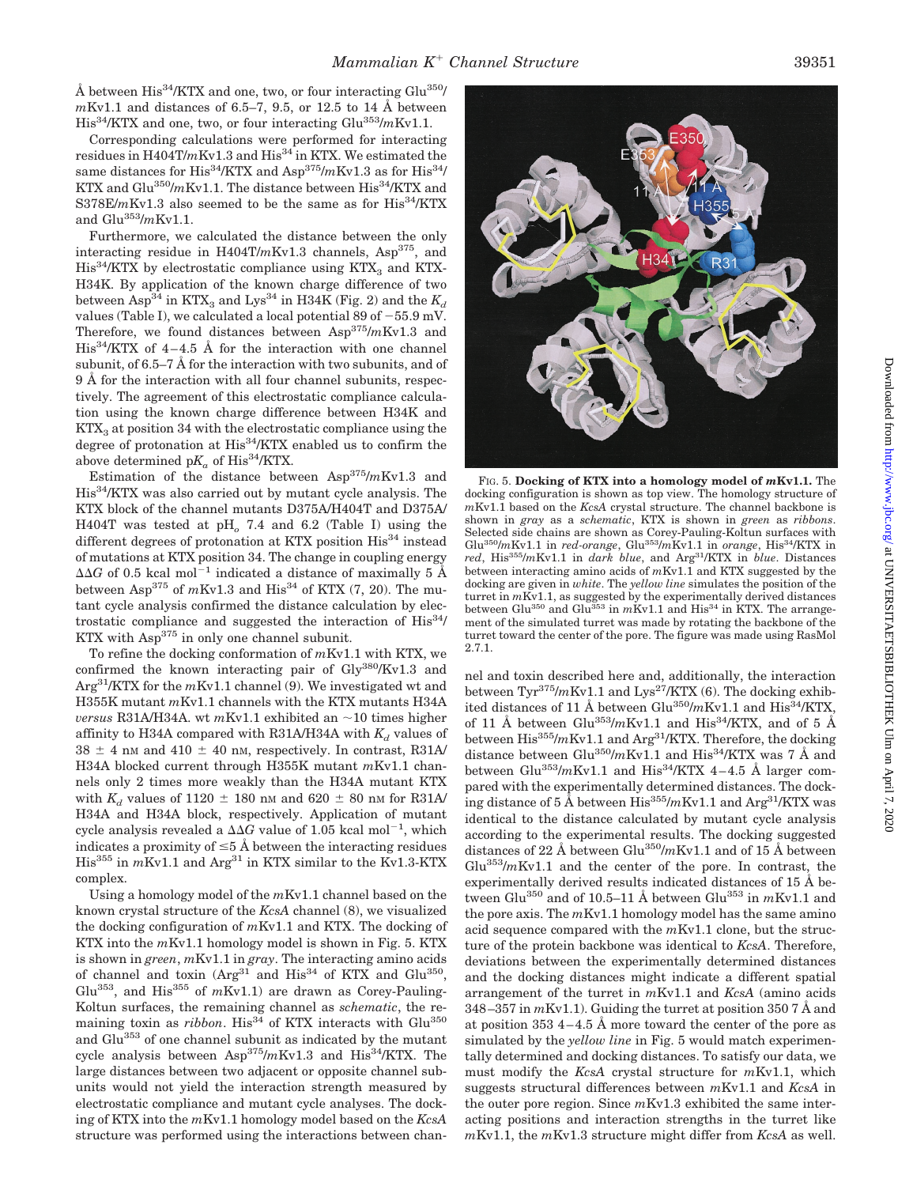Å between  $\text{His}^{34}/\text{KTX}$  and one, two, or four interacting  $\text{Glu}^{350}/\text{K}$ *m*Kv1.1 and distances of 6.5–7, 9.5, or 12.5 to 14 Å between His34/KTX and one, two, or four interacting Glu353/*m*Kv1.1.

Corresponding calculations were performed for interacting residues in H404T/mKv1.3 and His<sup>34</sup> in KTX. We estimated the same distances for His<sup>34</sup>/KTX and Asp<sup>375</sup>/mKv1.3 as for His<sup>34</sup>/ KTX and Glu<sup>350</sup>/mKv1.1. The distance between His<sup>34</sup>/KTX and S378E/mKv1.3 also seemed to be the same as for His<sup>34</sup>/KTX and Glu353/*m*Kv1.1.

Furthermore, we calculated the distance between the only interacting residue in H404T/mKv1.3 channels, Asp<sup>375</sup>, and  $His<sup>34</sup>/KTX$  by electrostatic compliance using  $KTX<sub>3</sub>$  and  $KTX<sub>-</sub>$ H34K. By application of the known charge difference of two between Asp<sup>34</sup> in KTX<sub>3</sub> and Lys<sup>34</sup> in H34K (Fig. 2) and the  $K_d$ values (Table I), we calculated a local potential 89 of  $-55.9$  mV. Therefore, we found distances between Asp375/*m*Kv1.3 and  $His<sup>34</sup>/KTX$  of 4–4.5 Å for the interaction with one channel subunit, of 6.5–7 Å for the interaction with two subunits, and of 9 Å for the interaction with all four channel subunits, respectively. The agreement of this electrostatic compliance calculation using the known charge difference between H34K and  $KTX<sub>3</sub>$  at position 34 with the electrostatic compliance using the degree of protonation at His<sup>34</sup>/KTX enabled us to confirm the above determined  $pK_a$  of His<sup>34</sup>/KTX.

Estimation of the distance between Asp375/*m*Kv1.3 and His34/KTX was also carried out by mutant cycle analysis. The KTX block of the channel mutants D375A/H404T and D375A/ H404T was tested at pH*<sup>o</sup>* 7.4 and 6.2 (Table I) using the different degrees of protonation at KTX position His<sup>34</sup> instead of mutations at KTX position 34. The change in coupling energy  $\Delta\Delta G$  of 0.5 kcal mol<sup>-1</sup> indicated a distance of maximally 5 Å between Asp<sup>375</sup> of  $mKv1.3$  and His<sup>34</sup> of KTX (7, 20). The mutant cycle analysis confirmed the distance calculation by electrostatic compliance and suggested the interaction of His<sup>34</sup>/  $KTX$  with  $Asp<sup>375</sup>$  in only one channel subunit.

To refine the docking conformation of *m*Kv1.1 with KTX, we confirmed the known interacting pair of  $\text{Gly}^{380}/\text{Kv1.3}$  and Arg31/KTX for the *m*Kv1.1 channel (9). We investigated wt and H355K mutant *m*Kv1.1 channels with the KTX mutants H34A *versus* R31A/H34A. wt  $mKv1.1$  exhibited an  $\sim$ 10 times higher affinity to H34A compared with R31A/H34A with  $K_d$  values of  $38 \pm 4$  nM and  $410 \pm 40$  nM, respectively. In contrast, R31A/ H34A blocked current through H355K mutant *m*Kv1.1 channels only 2 times more weakly than the H34A mutant KTX with  $K_d$  values of 1120  $\pm$  180 nm and 620  $\pm$  80 nm for R31A/ H34A and H34A block, respectively. Application of mutant cycle analysis revealed a  $\Delta\Delta G$  value of 1.05 kcal mol<sup>-1</sup>, which indicates a proximity of  $\leq$ 5 Å between the interacting residues His<sup>355</sup> in *m*Kv1.1 and Arg<sup>31</sup> in KTX similar to the Kv1.3-KTX complex.

Using a homology model of the *m*Kv1.1 channel based on the known crystal structure of the *KcsA* channel (8), we visualized the docking configuration of *m*Kv1.1 and KTX. The docking of KTX into the *m*Kv1.1 homology model is shown in Fig. 5. KTX is shown in *green*, *m*Kv1.1 in *gray*. The interacting amino acids of channel and toxin  $(Arg^{31}$  and  $His^{34}$  of KTX and  $Glu^{350}$ , Glu<sup>353</sup>, and His<sup>355</sup> of  $m$ Kv1.1) are drawn as Corey-Pauling-Koltun surfaces, the remaining channel as *schematic*, the remaining toxin as  $ribbon$ . His<sup>34</sup> of KTX interacts with Glu<sup>350</sup> and Glu<sup>353</sup> of one channel subunit as indicated by the mutant cycle analysis between  $\text{Asp}^{375}/m\text{Kv1.3}$  and  $\text{His}^{34}/\text{KTX}$ . The large distances between two adjacent or opposite channel subunits would not yield the interaction strength measured by electrostatic compliance and mutant cycle analyses. The docking of KTX into the *m*Kv1.1 homology model based on the *KcsA* structure was performed using the interactions between chan-

FIG. 5. **Docking of KTX into a homology model of** *m***Kv1.1.** The docking configuration is shown as top view. The homology structure of *m*Kv1.1 based on the *KcsA* crystal structure. The channel backbone is shown in *gray* as a *schematic*, KTX is shown in *green* as *ribbons*. Selected side chains are shown as Corey-Pauling-Koltun surfaces with Glu<sup>350</sup>/mKv1.1 in *red-orange*, Glu<sup>353</sup>/mKv1.1 in *orange*, His<sup>34</sup>/KTX in *red*, His355/*m*Kv1.1 in *dark blue*, and Arg31/KTX in *blue*. Distances between interacting amino acids of *m*Kv1.1 and KTX suggested by the docking are given in *white*. The *yellow line* simulates the position of the turret in *m*Kv1.1, as suggested by the experimentally derived distances<br>between Glu<sup>350</sup> and Glu<sup>353</sup> in *m*Kv1.1 and His<sup>34</sup> in KTX. The arrangement of the simulated turret was made by rotating the backbone of the turret toward the center of the pore. The figure was made using RasMol 2.7.1.

nel and toxin described here and, additionally, the interaction between  $\text{Tyr}^{375}/m\text{Kv1.1}$  and  $\text{Lys}^{27}/\text{KTX}$  (6). The docking exhibited distances of 11 Å between  $Glu^{350}/mKv1.1$  and  $His^{34}/KTX$ , of 11 Å between Glu<sup>353</sup>/mKv1.1 and His<sup>34</sup>/KTX, and of 5 Å between His<sup>355</sup>/mKv1.1 and Arg<sup>31</sup>/KTX. Therefore, the docking distance between Glu<sup>350</sup>/mKv1.1 and His<sup>34</sup>/KTX was 7 Å and between Glu<sup>353</sup>/mKv1.1 and His<sup>34</sup>/KTX 4-4.5 Å larger compared with the experimentally determined distances. The docking distance of 5  $\AA$  between His<sup>355</sup>/mKv1.1 and Arg<sup>31</sup>/KTX was identical to the distance calculated by mutant cycle analysis according to the experimental results. The docking suggested distances of 22 Å between Glu350/*m*Kv1.1 and of 15 Å between  $Glu^{353}/mKv1.1$  and the center of the pore. In contrast, the experimentally derived results indicated distances of 15 Å between Glu<sup>350</sup> and of 10.5–11 Å between Glu<sup>353</sup> in  $mKv1.1$  and the pore axis. The *m*Kv1.1 homology model has the same amino acid sequence compared with the *m*Kv1.1 clone, but the structure of the protein backbone was identical to *KcsA*. Therefore, deviations between the experimentally determined distances and the docking distances might indicate a different spatial arrangement of the turret in *m*Kv1.1 and *KcsA* (amino acids 348–357 in *m*Kv1.1). Guiding the turret at position 350 7 Å and at position 353 4–4.5 Å more toward the center of the pore as simulated by the *yellow line* in Fig. 5 would match experimentally determined and docking distances. To satisfy our data, we must modify the *KcsA* crystal structure for *m*Kv1.1, which suggests structural differences between *m*Kv1.1 and *KcsA* in the outer pore region. Since *m*Kv1.3 exhibited the same interacting positions and interaction strengths in the turret like *m*Kv1.1, the *m*Kv1.3 structure might differ from *KcsA* as well.

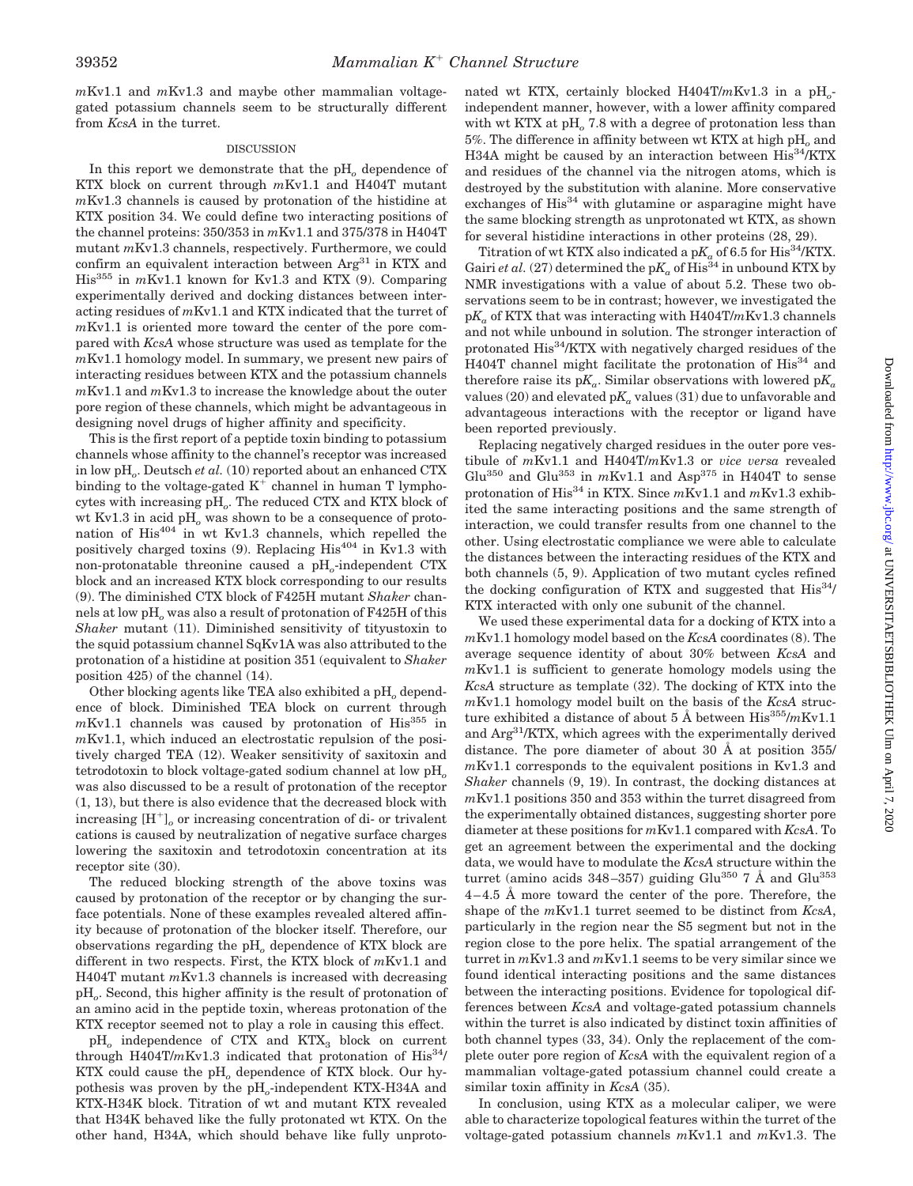*m*Kv1.1 and *m*Kv1.3 and maybe other mammalian voltagegated potassium channels seem to be structurally different from *KcsA* in the turret.

### **DISCUSSION**

In this report we demonstrate that the pH<sub>o</sub> dependence of KTX block on current through *m*Kv1.1 and H404T mutant *m*Kv1.3 channels is caused by protonation of the histidine at KTX position 34. We could define two interacting positions of the channel proteins: 350/353 in *m*Kv1.1 and 375/378 in H404T mutant *m*Kv1.3 channels, respectively. Furthermore, we could confirm an equivalent interaction between  $Arg<sup>31</sup>$  in KTX and His<sup>355</sup> in *m*Kv1.1 known for Kv1.3 and KTX (9). Comparing experimentally derived and docking distances between interacting residues of *m*Kv1.1 and KTX indicated that the turret of *m*Kv1.1 is oriented more toward the center of the pore compared with *KcsA* whose structure was used as template for the *m*Kv1.1 homology model. In summary, we present new pairs of interacting residues between KTX and the potassium channels *m*Kv1.1 and *m*Kv1.3 to increase the knowledge about the outer pore region of these channels, which might be advantageous in designing novel drugs of higher affinity and specificity.

This is the first report of a peptide toxin binding to potassium channels whose affinity to the channel's receptor was increased in low pH*o*. Deutsch *et al.* (10) reported about an enhanced CTX binding to the voltage-gated  $K^+$  channel in human T lymphocytes with increasing pH*o*. The reduced CTX and KTX block of wt Kv1.3 in acid pH<sub>o</sub> was shown to be a consequence of protonation of His404 in wt Kv1.3 channels, which repelled the positively charged toxins (9). Replacing  $His^{404}$  in Kv1.3 with non-protonatable threonine caused a pH*o*-independent CTX block and an increased KTX block corresponding to our results (9). The diminished CTX block of F425H mutant *Shaker* channels at low pH<sub>o</sub> was also a result of protonation of F425H of this *Shaker* mutant (11). Diminished sensitivity of tityustoxin to the squid potassium channel SqKv1A was also attributed to the protonation of a histidine at position 351 (equivalent to *Shaker* position 425) of the channel (14).

Other blocking agents like TEA also exhibited a pH<sub>o</sub> dependence of block. Diminished TEA block on current through  $mKv1.1$  channels was caused by protonation of  $His<sup>355</sup>$  in *m*Kv1.1, which induced an electrostatic repulsion of the positively charged TEA (12). Weaker sensitivity of saxitoxin and tetrodotoxin to block voltage-gated sodium channel at low pH*<sup>o</sup>* was also discussed to be a result of protonation of the receptor (1, 13), but there is also evidence that the decreased block with increasing  $[H^+]$ <sub>o</sub> or increasing concentration of di- or trivalent cations is caused by neutralization of negative surface charges lowering the saxitoxin and tetrodotoxin concentration at its receptor site (30).

The reduced blocking strength of the above toxins was caused by protonation of the receptor or by changing the surface potentials. None of these examples revealed altered affinity because of protonation of the blocker itself. Therefore, our observations regarding the pH*<sup>o</sup>* dependence of KTX block are different in two respects. First, the KTX block of *m*Kv1.1 and H404T mutant *m*Kv1.3 channels is increased with decreasing pH*o*. Second, this higher affinity is the result of protonation of an amino acid in the peptide toxin, whereas protonation of the KTX receptor seemed not to play a role in causing this effect.

pH<sub>o</sub> independence of CTX and KTX<sub>3</sub> block on current through H404T/ $m$ Kv1.3 indicated that protonation of His<sup>34</sup>/ KTX could cause the pH<sub>o</sub> dependence of KTX block. Our hypothesis was proven by the pH*o*-independent KTX-H34A and KTX-H34K block. Titration of wt and mutant KTX revealed that H34K behaved like the fully protonated wt KTX. On the other hand, H34A, which should behave like fully unprotonated wt KTX, certainly blocked H404T/mKv1.3 in a pH<sub>o</sub>independent manner, however, with a lower affinity compared with wt KTX at pH<sub>o</sub> 7.8 with a degree of protonation less than 5%. The difference in affinity between wt KTX at high pH*<sup>o</sup>* and H34A might be caused by an interaction between His<sup>34</sup>/KTX and residues of the channel via the nitrogen atoms, which is destroyed by the substitution with alanine. More conservative exchanges of  $His<sup>34</sup>$  with glutamine or asparagine might have the same blocking strength as unprotonated wt KTX, as shown for several histidine interactions in other proteins (28, 29).

Titration of wt KTX also indicated a  $pK_a$  of 6.5 for His<sup>34</sup>/KTX. Gairi *et al.* (27) determined the  $pK_a$  of His<sup>34</sup> in unbound KTX by NMR investigations with a value of about 5.2. These two observations seem to be in contrast; however, we investigated the p*Ka* of KTX that was interacting with H404T/*m*Kv1.3 channels and not while unbound in solution. The stronger interaction of protonated His34/KTX with negatively charged residues of the H404T channel might facilitate the protonation of His<sup>34</sup> and therefore raise its  $pK_a$ . Similar observations with lowered  $pK_a$ values (20) and elevated  $pK_a$  values (31) due to unfavorable and advantageous interactions with the receptor or ligand have been reported previously.

Replacing negatively charged residues in the outer pore vestibule of *m*Kv1.1 and H404T/*m*Kv1.3 or *vice versa* revealed Glu<sup>350</sup> and Glu<sup>353</sup> in  $mKv1.1$  and Asp<sup>375</sup> in H404T to sense protonation of His34 in KTX. Since *m*Kv1.1 and *m*Kv1.3 exhibited the same interacting positions and the same strength of interaction, we could transfer results from one channel to the other. Using electrostatic compliance we were able to calculate the distances between the interacting residues of the KTX and both channels (5, 9). Application of two mutant cycles refined the docking configuration of KTX and suggested that  $His^{34}$ KTX interacted with only one subunit of the channel.

We used these experimental data for a docking of KTX into a *m*Kv1.1 homology model based on the *KcsA* coordinates (8). The average sequence identity of about 30% between *KcsA* and *m*Kv1.1 is sufficient to generate homology models using the *KcsA* structure as template (32). The docking of KTX into the *m*Kv1.1 homology model built on the basis of the *KcsA* structure exhibited a distance of about 5 Å between His<sup>355</sup>/mKv1.1 and Arg31/KTX, which agrees with the experimentally derived distance. The pore diameter of about 30 Å at position 355/ *m*Kv1.1 corresponds to the equivalent positions in Kv1.3 and *Shaker* channels (9, 19). In contrast, the docking distances at *m*Kv1.1 positions 350 and 353 within the turret disagreed from the experimentally obtained distances, suggesting shorter pore diameter at these positions for *m*Kv1.1 compared with *KcsA*. To get an agreement between the experimental and the docking data, we would have to modulate the *KcsA* structure within the turret (amino acids  $348-357$ ) guiding Glu<sup>350</sup> 7 Å and Glu<sup>353</sup> 4–4.5 Å more toward the center of the pore. Therefore, the shape of the *m*Kv1.1 turret seemed to be distinct from *KcsA*, particularly in the region near the S5 segment but not in the region close to the pore helix. The spatial arrangement of the turret in *m*Kv1.3 and *m*Kv1.1 seems to be very similar since we found identical interacting positions and the same distances between the interacting positions. Evidence for topological differences between *KcsA* and voltage-gated potassium channels within the turret is also indicated by distinct toxin affinities of both channel types (33, 34). Only the replacement of the complete outer pore region of *KcsA* with the equivalent region of a mammalian voltage-gated potassium channel could create a similar toxin affinity in *KcsA* (35).

In conclusion, using KTX as a molecular caliper, we were able to characterize topological features within the turret of the voltage-gated potassium channels *m*Kv1.1 and *m*Kv1.3. The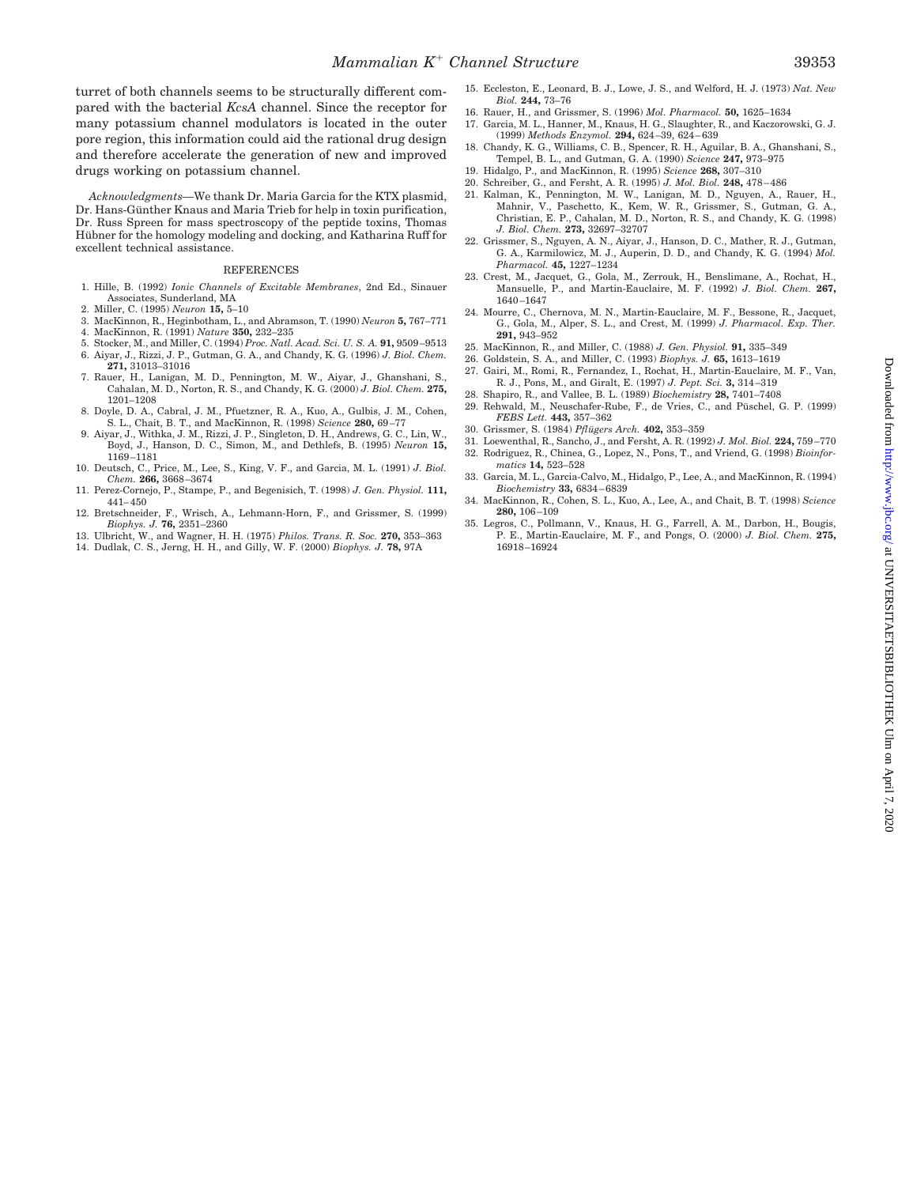turret of both channels seems to be structurally different compared with the bacterial *KcsA* channel. Since the receptor for many potassium channel modulators is located in the outer pore region, this information could aid the rational drug design and therefore accelerate the generation of new and improved drugs working on potassium channel.

*Acknowledgments—*We thank Dr. Maria Garcia for the KTX plasmid, Dr. Hans-Günther Knaus and Maria Trieb for help in toxin purification, Dr. Russ Spreen for mass spectroscopy of the peptide toxins, Thomas Hübner for the homology modeling and docking, and Katharina Ruff for excellent technical assistance.

#### **REFERENCES**

- 1. Hille, B. (1992) *Ionic Channels of Excitable Membranes*, 2nd Ed., Sinauer Associates, Sunderland, MA
- 2. Miller, C. (1995) *Neuron* **15,** 5–10
- 3. MacKinnon, R., Heginbotham, L., and Abramson, T. (1990) *Neuron* **5,** 767–771
- 4. MacKinnon, R. (1991) *Nature* **350,** 232–235
- 5. Stocker, M., and Miller, C. (1994) *Proc. Natl. Acad. Sci. U. S. A.* **91,** 9509–9513 6. Aiyar, J., Rizzi, J. P., Gutman, G. A., and Chandy, K. G. (1996) *J. Biol. Chem.* **271,** 31013–31016
- 7. Rauer, H., Lanigan, M. D., Pennington, M. W., Aiyar, J., Ghanshani, S., Cahalan, M. D., Norton, R. S., and Chandy, K. G. (2000) *J. Biol. Chem.* **275,** 1201–1208
- 8. Doyle, D. A., Cabral, J. M., Pfuetzner, R. A., Kuo, A., Gulbis, J. M., Cohen, S. L., Chait, B. T., and MacKinnon, R. (1998) *Science* **280,** 69–77
- 9. Aiyar, J., Withka, J. M., Rizzi, J. P., Singleton, D. H., Andrews, G. C., Lin, W., Boyd, J., Hanson, D. C., Simon, M., and Dethlefs, B. (1995) *Neuron* **15,** 1169–1181
- 10. Deutsch, C., Price, M., Lee, S., King, V. F., and Garcia, M. L. (1991) *J. Biol. Chem.* **266,** 3668–3674
- 11. Perez-Cornejo, P., Stampe, P., and Begenisich, T. (1998) *J. Gen. Physiol.* **111,** 441–450
- 12. Bretschneider, F., Wrisch, A., Lehmann-Horn, F., and Grissmer, S. (1999) *Biophys. J.* **76,** 2351–2360
- 13. Ulbricht, W., and Wagner, H. H. (1975) *Philos. Trans. R. Soc.* **270,** 353–363
- 14. Dudlak, C. S., Jerng, H. H., and Gilly, W. F. (2000) *Biophys. J.* **78,** 97A
- 15. Eccleston, E., Leonard, B. J., Lowe, J. S., and Welford, H. J. (1973) *Nat. New Biol.* **244,** 73–76
- 16. Rauer, H., and Grissmer, S. (1996) *Mol. Pharmacol.* **50,** 1625–1634
- 17. Garcia, M. L., Hanner, M., Knaus, H. G., Slaughter, R., and Kaczorowski, G. J. (1999) *Methods Enzymol.* **294,** 624–39, 624–639
- 18. Chandy, K. G., Williams, C. B., Spencer, R. H., Aguilar, B. A., Ghanshani, S., Tempel, B. L., and Gutman, G. A. (1990) *Science* **247,** 973–975 19. Hidalgo, P., and MacKinnon, R. (1995) *Science* **268,** 307–310
- 20. Schreiber, G., and Fersht, A. R. (1995) *J. Mol. Biol.* **248,** 478–486
- 21. Kalman, K., Pennington, M. W., Lanigan, M. D., Nguyen, A., Rauer, H., Mahnir, V., Paschetto, K., Kem, W. R., Grissmer, S., Gutman, G. A., Christian, E. P., Cahalan, M. D., Norton, R. S., and Chandy, K. G. (1998) *J. Biol. Chem.* **273,** 32697–32707
- 22. Grissmer, S., Nguyen, A. N., Aiyar, J., Hanson, D. C., Mather, R. J., Gutman, G. A., Karmilowicz, M. J., Auperin, D. D., and Chandy, K. G. (1994) *Mol. Pharmacol.* **45,** 1227–1234
- 23. Crest, M., Jacquet, G., Gola, M., Zerrouk, H., Benslimane, A., Rochat, H., Mansuelle, P., and Martin-Eauclaire, M. F. (1992) *J. Biol. Chem.* **267,** 1640–1647
- 24. Mourre, C., Chernova, M. N., Martin-Eauclaire, M. F., Bessone, R., Jacquet, G., Gola, M., Alper, S. L., and Crest, M. (1999) *J. Pharmacol. Exp. Ther.* **291,** 943–952
- 25. MacKinnon, R., and Miller, C. (1988) *J. Gen. Physiol.* **91,** 335–349
- 26. Goldstein, S. A., and Miller, C. (1993) *Biophys. J.* **65,** 1613–1619
- 27. Gairi, M., Romi, R., Fernandez, I., Rochat, H., Martin-Eauclaire, M. F., Van, R. J., Pons, M., and Giralt, E. (1997) *J. Pept. Sci.* **3,** 314–319
- 28. Shapiro, R., and Vallee, B. L. (1989) *Biochemistry* **28,** 7401–7408 29. Rehwald, M., Neuschafer-Rube, F., de Vries, C., and Püschel, G. P. (1999) *FEBS Lett.* **443,** 357–362
- 30. Grissmer, S. (1984) *Pflügers Arch.* 402, 353-359
- 31. Loewenthal, R., Sancho, J., and Fersht, A. R. (1992) *J. Mol. Biol.* **224,** 759–770 32. Rodriguez, R., Chinea, G., Lopez, N., Pons, T., and Vriend, G. (1998) *Bioinfor-*
- *matics* **14,** 523–528
- 33. Garcia, M. L., Garcia-Calvo, M., Hidalgo, P., Lee, A., and MacKinnon, R. (1994) *Biochemistry* **33,** 6834–6839
- 34. MacKinnon, R., Cohen, S. L., Kuo, A., Lee, A., and Chait, B. T. (1998) *Science* **280,** 106–109
- 35. Legros, C., Pollmann, V., Knaus, H. G., Farrell, A. M., Darbon, H., Bougis, P. E., Martin-Eauclaire, M. F., and Pongs, O. (2000) *J. Biol. Chem.* **275,** 16918–16924